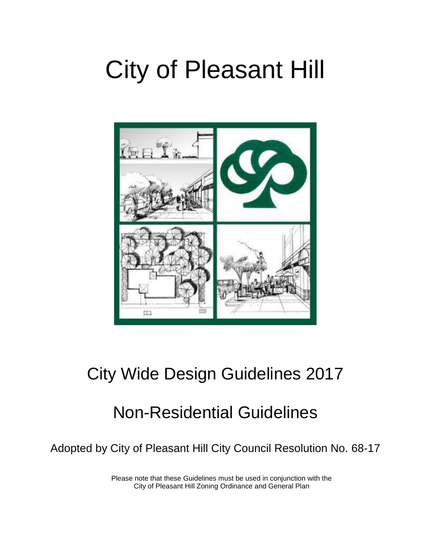# City of Pleasant Hill



# City Wide Design Guidelines 2017

# Non-Residential Guidelines

Adopted by City of Pleasant Hill City Council Resolution No. 68-17

Please note that these Guidelines must be used in conjunction with the City of Pleasant Hill Zoning Ordinance and General Plan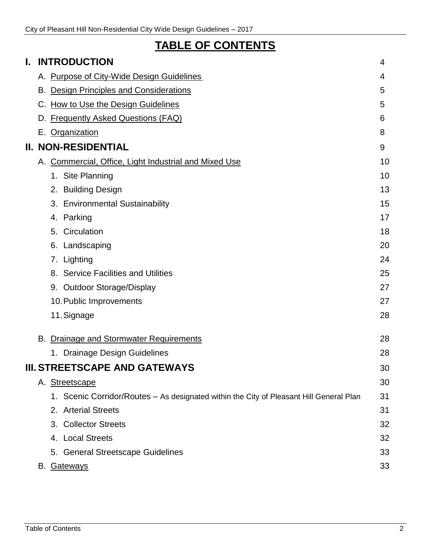## **TABLE OF CONTENTS**

| I. |    | <b>INTRODUCTION</b>                                                                     | 4  |
|----|----|-----------------------------------------------------------------------------------------|----|
|    |    | A. Purpose of City-Wide Design Guidelines                                               | 4  |
|    |    | B. Design Principles and Considerations                                                 | 5  |
|    |    | C. How to Use the Design Guidelines                                                     | 5  |
|    |    | D. Frequently Asked Questions (FAQ)                                                     | 6  |
|    |    | E. Organization                                                                         | 8  |
|    |    | <b>II. NON-RESIDENTIAL</b>                                                              | 9  |
|    |    | A. Commercial, Office, Light Industrial and Mixed Use                                   | 10 |
|    |    | 1. Site Planning                                                                        | 10 |
|    |    | <b>Building Design</b><br>2.                                                            | 13 |
|    |    | <b>Environmental Sustainability</b><br>3.                                               | 15 |
|    |    | 4. Parking                                                                              | 17 |
|    |    | 5. Circulation                                                                          | 18 |
|    |    | Landscaping<br>6.                                                                       | 20 |
|    |    | Lighting<br>7.                                                                          | 24 |
|    |    | 8. Service Facilities and Utilities                                                     | 25 |
|    |    | 9. Outdoor Storage/Display                                                              | 27 |
|    |    | 10. Public Improvements                                                                 | 27 |
|    |    | 11. Signage                                                                             | 28 |
|    | В. | Drainage and Stormwater Requirements                                                    | 28 |
|    |    | 1. Drainage Design Guidelines                                                           | 28 |
|    |    | <b>III. STREETSCAPE AND GATEWAYS</b>                                                    | 30 |
|    |    | A. Streetscape                                                                          | 30 |
|    |    | 1. Scenic Corridor/Routes – As designated within the City of Pleasant Hill General Plan | 31 |
|    |    | 2. Arterial Streets                                                                     | 31 |
|    |    | 3. Collector Streets                                                                    | 32 |
|    |    | 4. Local Streets                                                                        | 32 |
|    |    | 5. General Streetscape Guidelines                                                       | 33 |
|    |    | B. Gateways                                                                             | 33 |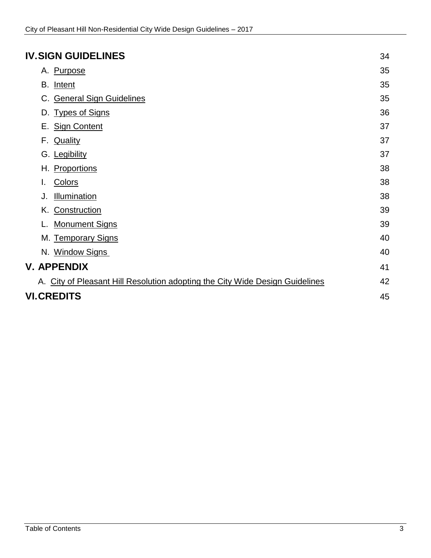### **IV.SIGN GUIDELINES** 34

| A. Purpose                                                                   | 35 |  |
|------------------------------------------------------------------------------|----|--|
| B. Intent                                                                    | 35 |  |
| C. General Sign Guidelines                                                   | 35 |  |
| <b>Types of Signs</b><br>D.                                                  | 36 |  |
| E. Sign Content                                                              | 37 |  |
| F.<br><b>Quality</b>                                                         | 37 |  |
| G. Legibility                                                                | 37 |  |
| H. Proportions                                                               | 38 |  |
| Colors<br>I.                                                                 | 38 |  |
| Illumination<br>J.                                                           | 38 |  |
| K. Construction                                                              | 39 |  |
| <b>Monument Signs</b>                                                        | 39 |  |
| M. Temporary Signs                                                           | 40 |  |
| N. Window Signs                                                              | 40 |  |
| V. APPENDIX                                                                  | 41 |  |
| A. City of Pleasant Hill Resolution adopting the City Wide Design Guidelines | 42 |  |
| <b>VI.CREDITS</b>                                                            |    |  |
|                                                                              |    |  |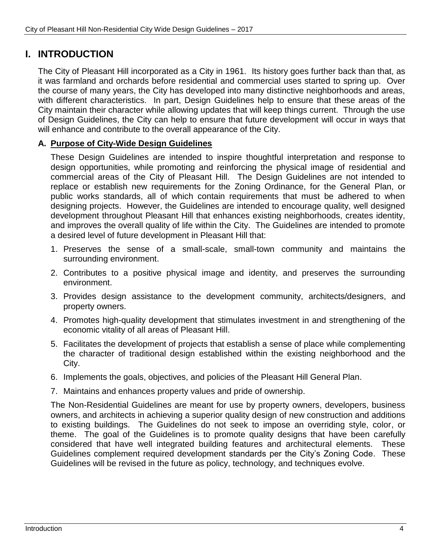### **I. INTRODUCTION**

The City of Pleasant Hill incorporated as a City in 1961. Its history goes further back than that, as it was farmland and orchards before residential and commercial uses started to spring up. Over the course of many years, the City has developed into many distinctive neighborhoods and areas, with different characteristics. In part, Design Guidelines help to ensure that these areas of the City maintain their character while allowing updates that will keep things current. Through the use of Design Guidelines, the City can help to ensure that future development will occur in ways that will enhance and contribute to the overall appearance of the City.

### **A. Purpose of City-Wide Design Guidelines**

These Design Guidelines are intended to inspire thoughtful interpretation and response to design opportunities, while promoting and reinforcing the physical image of residential and commercial areas of the City of Pleasant Hill. The Design Guidelines are not intended to replace or establish new requirements for the Zoning Ordinance, for the General Plan, or public works standards, all of which contain requirements that must be adhered to when designing projects. However, the Guidelines are intended to encourage quality, well designed development throughout Pleasant Hill that enhances existing neighborhoods, creates identity, and improves the overall quality of life within the City. The Guidelines are intended to promote a desired level of future development in Pleasant Hill that:

- 1. Preserves the sense of a small-scale, small-town community and maintains the surrounding environment.
- 2. Contributes to a positive physical image and identity, and preserves the surrounding environment.
- 3. Provides design assistance to the development community, architects/designers, and property owners.
- 4. Promotes high-quality development that stimulates investment in and strengthening of the economic vitality of all areas of Pleasant Hill.
- 5. Facilitates the development of projects that establish a sense of place while complementing the character of traditional design established within the existing neighborhood and the City.
- 6. Implements the goals, objectives, and policies of the Pleasant Hill General Plan.
- 7. Maintains and enhances property values and pride of ownership.

The Non-Residential Guidelines are meant for use by property owners, developers, business owners, and architects in achieving a superior quality design of new construction and additions to existing buildings. The Guidelines do not seek to impose an overriding style, color, or theme. The goal of the Guidelines is to promote quality designs that have been carefully considered that have well integrated building features and architectural elements. These Guidelines complement required development standards per the City's Zoning Code. These Guidelines will be revised in the future as policy, technology, and techniques evolve.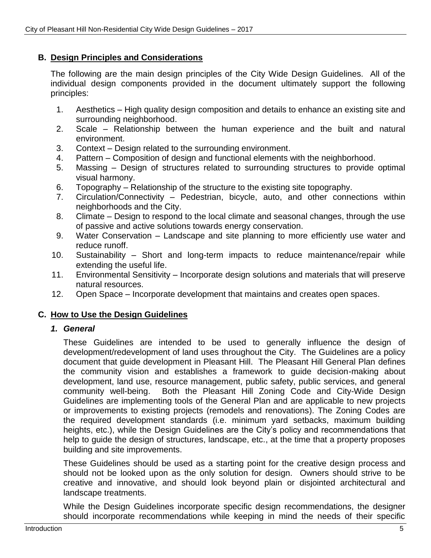### **B. Design Principles and Considerations**

The following are the main design principles of the City Wide Design Guidelines. All of the individual design components provided in the document ultimately support the following principles:

- 1. Aesthetics High quality design composition and details to enhance an existing site and surrounding neighborhood.
- 2. Scale Relationship between the human experience and the built and natural environment.
- 3. Context Design related to the surrounding environment.
- 4. Pattern Composition of design and functional elements with the neighborhood.
- 5. Massing Design of structures related to surrounding structures to provide optimal visual harmony.
- 6. Topography Relationship of the structure to the existing site topography.
- 7. Circulation/Connectivity Pedestrian, bicycle, auto, and other connections within neighborhoods and the City.
- 8. Climate Design to respond to the local climate and seasonal changes, through the use of passive and active solutions towards energy conservation.
- 9. Water Conservation Landscape and site planning to more efficiently use water and reduce runoff.
- 10. Sustainability Short and long-term impacts to reduce maintenance/repair while extending the useful life.
- 11. Environmental Sensitivity Incorporate design solutions and materials that will preserve natural resources.
- 12. Open Space Incorporate development that maintains and creates open spaces.

### **C. How to Use the Design Guidelines**

### *1. General*

These Guidelines are intended to be used to generally influence the design of development/redevelopment of land uses throughout the City. The Guidelines are a policy document that guide development in Pleasant Hill. The Pleasant Hill General Plan defines the community vision and establishes a framework to guide decision-making about development, land use, resource management, public safety, public services, and general community well-being. Both the Pleasant Hill Zoning Code and City-Wide Design Guidelines are implementing tools of the General Plan and are applicable to new projects or improvements to existing projects (remodels and renovations). The Zoning Codes are the required development standards (i.e. minimum yard setbacks, maximum building heights, etc.), while the Design Guidelines are the City's policy and recommendations that help to guide the design of structures, landscape, etc., at the time that a property proposes building and site improvements.

These Guidelines should be used as a starting point for the creative design process and should not be looked upon as the only solution for design. Owners should strive to be creative and innovative, and should look beyond plain or disjointed architectural and landscape treatments.

While the Design Guidelines incorporate specific design recommendations, the designer should incorporate recommendations while keeping in mind the needs of their specific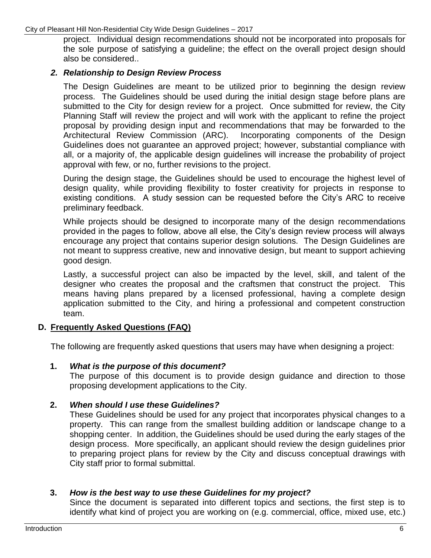project. Individual design recommendations should not be incorporated into proposals for the sole purpose of satisfying a guideline; the effect on the overall project design should also be considered..

### *2. Relationship to Design Review Process*

The Design Guidelines are meant to be utilized prior to beginning the design review process. The Guidelines should be used during the initial design stage before plans are submitted to the City for design review for a project. Once submitted for review, the City Planning Staff will review the project and will work with the applicant to refine the project proposal by providing design input and recommendations that may be forwarded to the Architectural Review Commission (ARC). Incorporating components of the Design Guidelines does not guarantee an approved project; however, substantial compliance with all, or a majority of, the applicable design guidelines will increase the probability of project approval with few, or no, further revisions to the project.

During the design stage, the Guidelines should be used to encourage the highest level of design quality, while providing flexibility to foster creativity for projects in response to existing conditions. A study session can be requested before the City's ARC to receive preliminary feedback.

While projects should be designed to incorporate many of the design recommendations provided in the pages to follow, above all else, the City's design review process will always encourage any project that contains superior design solutions. The Design Guidelines are not meant to suppress creative, new and innovative design, but meant to support achieving good design.

Lastly, a successful project can also be impacted by the level, skill, and talent of the designer who creates the proposal and the craftsmen that construct the project. This means having plans prepared by a licensed professional, having a complete design application submitted to the City, and hiring a professional and competent construction team.

### **D. Frequently Asked Questions (FAQ)**

The following are frequently asked questions that users may have when designing a project:

### **1.** *What is the purpose of this document?*

The purpose of this document is to provide design guidance and direction to those proposing development applications to the City.

### **2.** *When should I use these Guidelines?*

These Guidelines should be used for any project that incorporates physical changes to a property. This can range from the smallest building addition or landscape change to a shopping center. In addition, the Guidelines should be used during the early stages of the design process. More specifically, an applicant should review the design guidelines prior to preparing project plans for review by the City and discuss conceptual drawings with City staff prior to formal submittal.

### **3.** *How is the best way to use these Guidelines for my project?*

Since the document is separated into different topics and sections, the first step is to identify what kind of project you are working on (e.g. commercial, office, mixed use, etc.)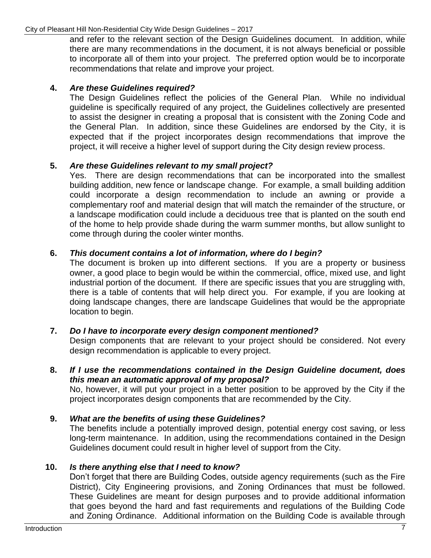and refer to the relevant section of the Design Guidelines document. In addition, while there are many recommendations in the document, it is not always beneficial or possible to incorporate all of them into your project. The preferred option would be to incorporate recommendations that relate and improve your project.

### **4.** *Are these Guidelines required?*

The Design Guidelines reflect the policies of the General Plan. While no individual guideline is specifically required of any project, the Guidelines collectively are presented to assist the designer in creating a proposal that is consistent with the Zoning Code and the General Plan. In addition, since these Guidelines are endorsed by the City, it is expected that if the project incorporates design recommendations that improve the project, it will receive a higher level of support during the City design review process.

### **5.** *Are these Guidelines relevant to my small project?*

Yes. There are design recommendations that can be incorporated into the smallest building addition, new fence or landscape change. For example, a small building addition could incorporate a design recommendation to include an awning or provide a complementary roof and material design that will match the remainder of the structure, or a landscape modification could include a deciduous tree that is planted on the south end of the home to help provide shade during the warm summer months, but allow sunlight to come through during the cooler winter months.

### **6.** *This document contains a lot of information, where do I begin?*

The document is broken up into different sections. If you are a property or business owner, a good place to begin would be within the commercial, office, mixed use, and light industrial portion of the document. If there are specific issues that you are struggling with, there is a table of contents that will help direct you. For example, if you are looking at doing landscape changes, there are landscape Guidelines that would be the appropriate location to begin.

### **7.** *Do I have to incorporate every design component mentioned?*

Design components that are relevant to your project should be considered. Not every design recommendation is applicable to every project.

### **8.** *If I use the recommendations contained in the Design Guideline document, does this mean an automatic approval of my proposal?*

No, however, it will put your project in a better position to be approved by the City if the project incorporates design components that are recommended by the City.

### **9.** *What are the benefits of using these Guidelines?*

The benefits include a potentially improved design, potential energy cost saving, or less long-term maintenance. In addition, using the recommendations contained in the Design Guidelines document could result in higher level of support from the City.

### **10.** *Is there anything else that I need to know?*

Don't forget that there are Building Codes, outside agency requirements (such as the Fire District), City Engineering provisions, and Zoning Ordinances that must be followed. These Guidelines are meant for design purposes and to provide additional information that goes beyond the hard and fast requirements and regulations of the Building Code and Zoning Ordinance. Additional information on the Building Code is available through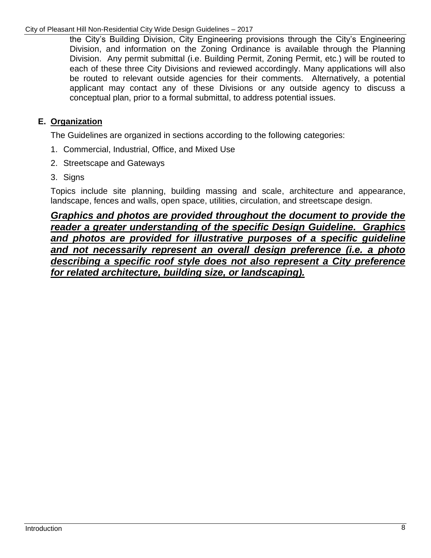#### City of Pleasant Hill Non-Residential City Wide Design Guidelines – 2017

the City's Building Division, City Engineering provisions through the City's Engineering Division, and information on the Zoning Ordinance is available through the Planning Division. Any permit submittal (i.e. Building Permit, Zoning Permit, etc.) will be routed to each of these three City Divisions and reviewed accordingly. Many applications will also be routed to relevant outside agencies for their comments. Alternatively, a potential applicant may contact any of these Divisions or any outside agency to discuss a conceptual plan, prior to a formal submittal, to address potential issues.

### **E. Organization**

The Guidelines are organized in sections according to the following categories:

- 1. Commercial, Industrial, Office, and Mixed Use
- 2. Streetscape and Gateways
- 3. Signs

Topics include site planning, building massing and scale, architecture and appearance, landscape, fences and walls, open space, utilities, circulation, and streetscape design.

*Graphics and photos are provided throughout the document to provide the reader a greater understanding of the specific Design Guideline. Graphics and photos are provided for illustrative purposes of a specific guideline and not necessarily represent an overall design preference (i.e. a photo describing a specific roof style does not also represent a City preference for related architecture, building size, or landscaping).*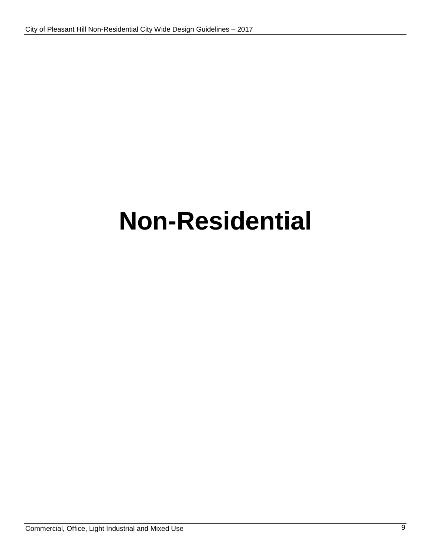# **Non-Residential**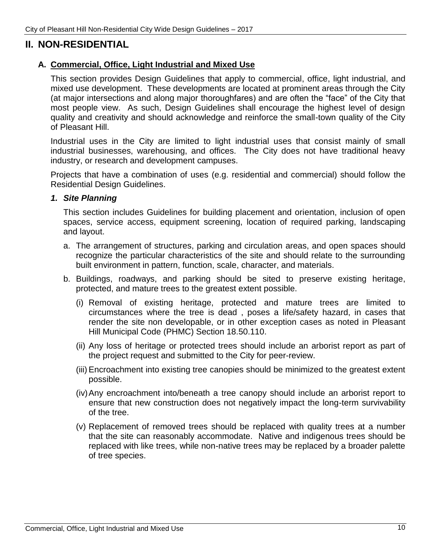### **II. NON-RESIDENTIAL**

### **A. Commercial, Office, Light Industrial and Mixed Use**

This section provides Design Guidelines that apply to commercial, office, light industrial, and mixed use development. These developments are located at prominent areas through the City (at major intersections and along major thoroughfares) and are often the "face" of the City that most people view. As such, Design Guidelines shall encourage the highest level of design quality and creativity and should acknowledge and reinforce the small-town quality of the City of Pleasant Hill.

Industrial uses in the City are limited to light industrial uses that consist mainly of small industrial businesses, warehousing, and offices. The City does not have traditional heavy industry, or research and development campuses.

Projects that have a combination of uses (e.g. residential and commercial) should follow the Residential Design Guidelines.

#### *1. Site Planning*

This section includes Guidelines for building placement and orientation, inclusion of open spaces, service access, equipment screening, location of required parking, landscaping and layout.

- a. The arrangement of structures, parking and circulation areas, and open spaces should recognize the particular characteristics of the site and should relate to the surrounding built environment in pattern, function, scale, character, and materials.
- b. Buildings, roadways, and parking should be sited to preserve existing heritage, protected, and mature trees to the greatest extent possible.
	- (i) Removal of existing heritage, protected and mature trees are limited to circumstances where the tree is dead , poses a life/safety hazard, in cases that render the site non developable, or in other exception cases as noted in Pleasant Hill Municipal Code (PHMC) Section 18.50.110.
	- (ii) Any loss of heritage or protected trees should include an arborist report as part of the project request and submitted to the City for peer-review.
	- (iii) Encroachment into existing tree canopies should be minimized to the greatest extent possible.
	- (iv)Any encroachment into/beneath a tree canopy should include an arborist report to ensure that new construction does not negatively impact the long-term survivability of the tree.
	- (v) Replacement of removed trees should be replaced with quality trees at a number that the site can reasonably accommodate. Native and indigenous trees should be replaced with like trees, while non-native trees may be replaced by a broader palette of tree species.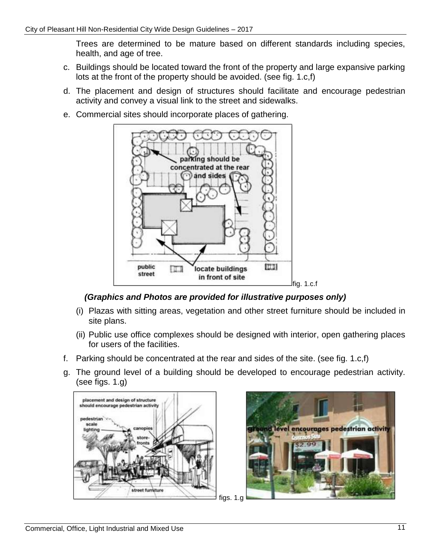Trees are determined to be mature based on different standards including species, health, and age of tree.

- c. Buildings should be located toward the front of the property and large expansive parking lots at the front of the property should be avoided. (see fig. 1.c,f)
- d. The placement and design of structures should facilitate and encourage pedestrian activity and convey a visual link to the street and sidewalks.
- e. Commercial sites should incorporate places of gathering.



### *(Graphics and Photos are provided for illustrative purposes only)*

- (i) Plazas with sitting areas, vegetation and other street furniture should be included in site plans.
- (ii) Public use office complexes should be designed with interior, open gathering places for users of the facilities.
- f. Parking should be concentrated at the rear and sides of the site. (see fig. 1.c,f)
- g. The ground level of a building should be developed to encourage pedestrian activity. (see figs. 1.g)



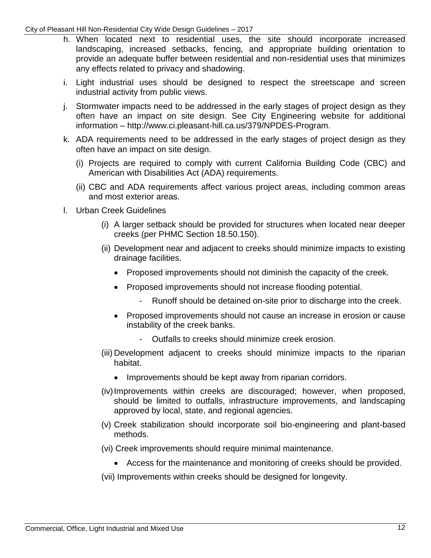#### City of Pleasant Hill Non-Residential City Wide Design Guidelines – 2017

- h. When located next to residential uses, the site should incorporate increased landscaping, increased setbacks, fencing, and appropriate building orientation to provide an adequate buffer between residential and non-residential uses that minimizes any effects related to privacy and shadowing.
- i. Light industrial uses should be designed to respect the streetscape and screen industrial activity from public views.
- j. Stormwater impacts need to be addressed in the early stages of project design as they often have an impact on site design. See City Engineering website for additional information – http://www.ci.pleasant-hill.ca.us/379/NPDES-Program.
- k. ADA requirements need to be addressed in the early stages of project design as they often have an impact on site design.
	- (i) Projects are required to comply with current California Building Code (CBC) and American with Disabilities Act (ADA) requirements.
	- (ii) CBC and ADA requirements affect various project areas, including common areas and most exterior areas.
- l. Urban Creek Guidelines
	- (i) A larger setback should be provided for structures when located near deeper creeks (per PHMC Section 18.50.150).
	- (ii) Development near and adjacent to creeks should minimize impacts to existing drainage facilities.
		- Proposed improvements should not diminish the capacity of the creek.
		- Proposed improvements should not increase flooding potential.
			- Runoff should be detained on-site prior to discharge into the creek.
		- Proposed improvements should not cause an increase in erosion or cause instability of the creek banks.
			- Outfalls to creeks should minimize creek erosion.
	- (iii) Development adjacent to creeks should minimize impacts to the riparian habitat.
		- Improvements should be kept away from riparian corridors.
	- (iv)Improvements within creeks are discouraged; however, when proposed, should be limited to outfalls, infrastructure improvements, and landscaping approved by local, state, and regional agencies.
	- (v) Creek stabilization should incorporate soil bio-engineering and plant-based methods.
	- (vi) Creek improvements should require minimal maintenance.
		- Access for the maintenance and monitoring of creeks should be provided.
	- (vii) Improvements within creeks should be designed for longevity.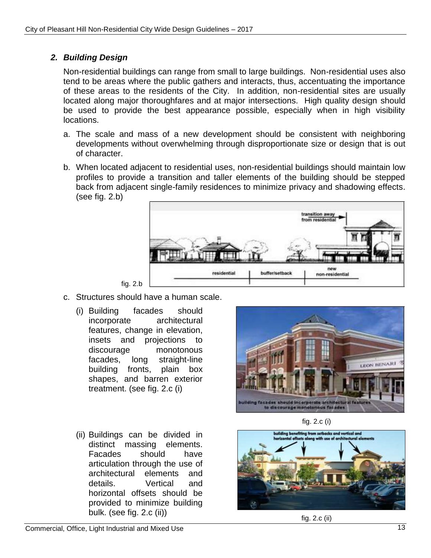### *2. Building Design*

Non-residential buildings can range from small to large buildings. Non-residential uses also tend to be areas where the public gathers and interacts, thus, accentuating the importance of these areas to the residents of the City. In addition, non-residential sites are usually located along major thoroughfares and at major intersections. High quality design should be used to provide the best appearance possible, especially when in high visibility locations.

- a. The scale and mass of a new development should be consistent with neighboring developments without overwhelming through disproportionate size or design that is out of character.
- b. When located adjacent to residential uses, non-residential buildings should maintain low profiles to provide a transition and taller elements of the building should be stepped back from adjacent single-family residences to minimize privacy and shadowing effects. (see fig. 2.b)



- c. Structures should have a human scale.
	- (i) Building facades should incorporate architectural features, change in elevation, insets and projections to discourage monotonous facades, long straight-line building fronts, plain box shapes, and barren exterior treatment. (see fig. 2.c (i)



(ii) Buildings can be divided in distinct massing elements. Facades should have articulation through the use of architectural elements and details. Vertical and horizontal offsets should be provided to minimize building bulk. (see fig. 2.c (ii))





fig. 2.c (ii)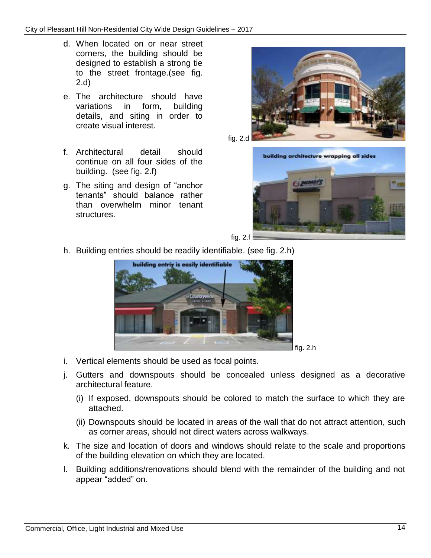- d. When located on or near street corners, the building should be designed to establish a strong tie to the street frontage.(see fig. 2.d)
- e. The architecture should have variations in form, building details, and siting in order to create visual interest.
- f. Architectural detail should continue on all four sides of the building. (see fig. 2.f)
- g. The siting and design of "anchor tenants" should balance rather than overwhelm minor tenant structures.





h. Building entries should be readily identifiable. (see fig. 2.h)



- i. Vertical elements should be used as focal points.
- j. Gutters and downspouts should be concealed unless designed as a decorative architectural feature.
	- (i) If exposed, downspouts should be colored to match the surface to which they are attached.
	- (ii) Downspouts should be located in areas of the wall that do not attract attention, such as corner areas, should not direct waters across walkways.
- k. The size and location of doors and windows should relate to the scale and proportions of the building elevation on which they are located.
- l. Building additions/renovations should blend with the remainder of the building and not appear "added" on.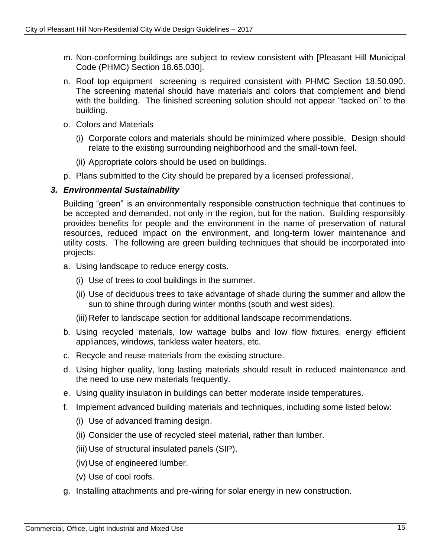- m. Non-conforming buildings are subject to review consistent with [Pleasant Hill Municipal Code (PHMC) Section 18.65.030].
- n. Roof top equipment screening is required consistent with PHMC Section 18.50.090. The screening material should have materials and colors that complement and blend with the building. The finished screening solution should not appear "tacked on" to the building.
- o. Colors and Materials
	- (i) Corporate colors and materials should be minimized where possible. Design should relate to the existing surrounding neighborhood and the small-town feel.
	- (ii) Appropriate colors should be used on buildings.
- p. Plans submitted to the City should be prepared by a licensed professional.

### *3. Environmental Sustainability*

Building "green" is an environmentally responsible construction technique that continues to be accepted and demanded, not only in the region, but for the nation. Building responsibly provides benefits for people and the environment in the name of preservation of natural resources, reduced impact on the environment, and long-term lower maintenance and utility costs. The following are green building techniques that should be incorporated into projects:

- a. Using landscape to reduce energy costs.
	- (i) Use of trees to cool buildings in the summer.
	- (ii) Use of deciduous trees to take advantage of shade during the summer and allow the sun to shine through during winter months (south and west sides).
	- (iii) Refer to landscape section for additional landscape recommendations.
- b. Using recycled materials, low wattage bulbs and low flow fixtures, energy efficient appliances, windows, tankless water heaters, etc.
- c. Recycle and reuse materials from the existing structure.
- d. Using higher quality, long lasting materials should result in reduced maintenance and the need to use new materials frequently.
- e. Using quality insulation in buildings can better moderate inside temperatures.
- f. Implement advanced building materials and techniques, including some listed below:
	- (i) Use of advanced framing design.
	- (ii) Consider the use of recycled steel material, rather than lumber.
	- (iii) Use of structural insulated panels (SIP).
	- (iv)Use of engineered lumber.
	- (v) Use of cool roofs.
- g. Installing attachments and pre-wiring for solar energy in new construction.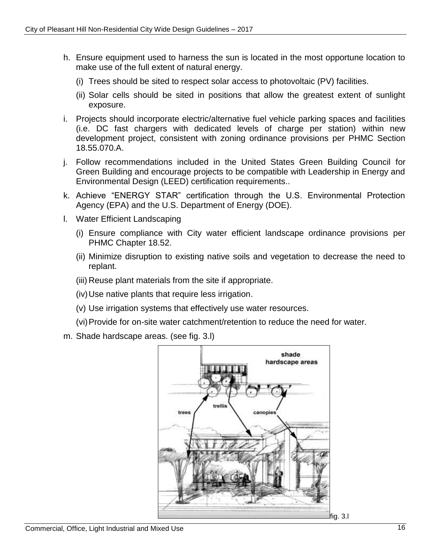- h. Ensure equipment used to harness the sun is located in the most opportune location to make use of the full extent of natural energy.
	- (i) Trees should be sited to respect solar access to photovoltaic (PV) facilities.
	- (ii) Solar cells should be sited in positions that allow the greatest extent of sunlight exposure.
- i. Projects should incorporate electric/alternative fuel vehicle parking spaces and facilities (i.e. DC fast chargers with dedicated levels of charge per station) within new development project, consistent with zoning ordinance provisions per PHMC Section 18.55.070.A.
- j. Follow recommendations included in the United States Green Building Council for Green Building and encourage projects to be compatible with Leadership in Energy and Environmental Design (LEED) certification requirements..
- k. Achieve "ENERGY STAR" certification through the U.S. Environmental Protection Agency (EPA) and the U.S. Department of Energy (DOE).
- l. Water Efficient Landscaping
	- (i) Ensure compliance with City water efficient landscape ordinance provisions per PHMC Chapter 18.52.
	- (ii) Minimize disruption to existing native soils and vegetation to decrease the need to replant.
	- (iii) Reuse plant materials from the site if appropriate.
	- (iv)Use native plants that require less irrigation.
	- (v) Use irrigation systems that effectively use water resources.
	- (vi)Provide for on-site water catchment/retention to reduce the need for water.
- m. Shade hardscape areas. (see fig. 3.l)

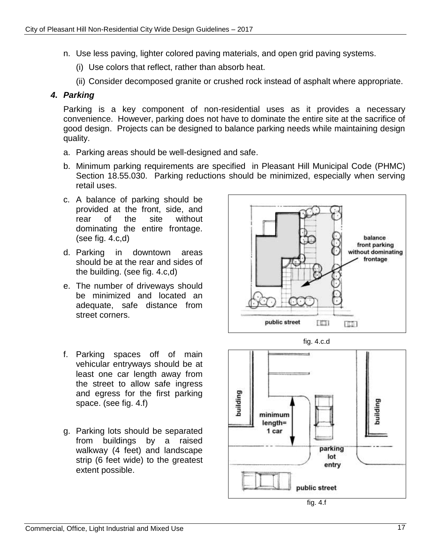- n. Use less paving, lighter colored paving materials, and open grid paving systems.
	- (i) Use colors that reflect, rather than absorb heat.
	- (ii) Consider decomposed granite or crushed rock instead of asphalt where appropriate.

### *4. Parking*

Parking is a key component of non-residential uses as it provides a necessary convenience. However, parking does not have to dominate the entire site at the sacrifice of good design. Projects can be designed to balance parking needs while maintaining design quality.

- a. Parking areas should be well-designed and safe.
- b. Minimum parking requirements are specified in Pleasant Hill Municipal Code (PHMC) Section 18.55.030. Parking reductions should be minimized, especially when serving retail uses.
- c. A balance of parking should be provided at the front, side, and rear of the site without dominating the entire frontage. (see fig. 4.c,d)
- d. Parking in downtown areas should be at the rear and sides of the building. (see fig. 4.c,d)
- e. The number of driveways should be minimized and located an adequate, safe distance from street corners.
- f. Parking spaces off of main vehicular entryways should be at least one car length away from the street to allow safe ingress and egress for the first parking space. (see fig. 4.f)
- g. Parking lots should be separated from buildings by a raised walkway (4 feet) and landscape strip (6 feet wide) to the greatest extent possible.





fig. 4.f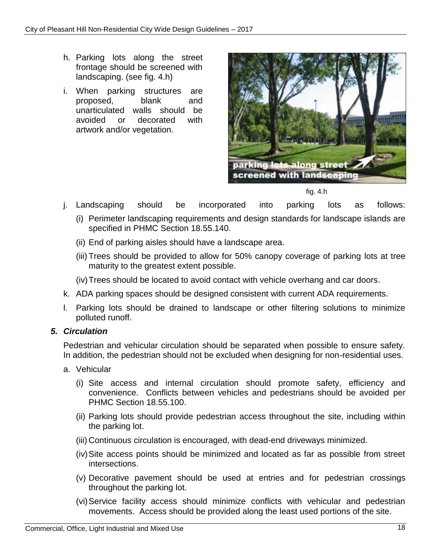- h. Parking lots along the street frontage should be screened with landscaping. (see fig. 4.h)
- i. When parking structures are proposed, blank and unarticulated walls should be avoided or decorated with artwork and/or vegetation.



fig. 4.h

- j. Landscaping should be incorporated into parking lots as follows:
	- (i) Perimeter landscaping requirements and design standards for landscape islands are specified in PHMC Section 18.55.140.
	- (ii) End of parking aisles should have a landscape area.
	- (iii) Trees should be provided to allow for 50% canopy coverage of parking lots at tree maturity to the greatest extent possible.
	- (iv)Trees should be located to avoid contact with vehicle overhang and car doors.
- k. ADA parking spaces should be designed consistent with current ADA requirements.
- l. Parking lots should be drained to landscape or other filtering solutions to minimize polluted runoff.

### *5. Circulation*

Pedestrian and vehicular circulation should be separated when possible to ensure safety. In addition, the pedestrian should not be excluded when designing for non-residential uses.

- a. Vehicular
	- (i) Site access and internal circulation should promote safety, efficiency and convenience. Conflicts between vehicles and pedestrians should be avoided per PHMC Section 18.55.100.
	- (ii) Parking lots should provide pedestrian access throughout the site, including within the parking lot.
	- (iii) Continuous circulation is encouraged, with dead-end driveways minimized.
	- (iv)Site access points should be minimized and located as far as possible from street intersections.
	- (v) Decorative pavement should be used at entries and for pedestrian crossings throughout the parking lot.
	- (vi)Service facility access should minimize conflicts with vehicular and pedestrian movements. Access should be provided along the least used portions of the site.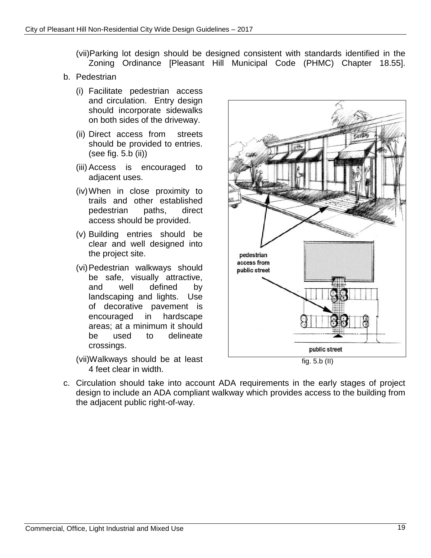- (vii)Parking lot design should be designed consistent with standards identified in the Zoning Ordinance [Pleasant Hill Municipal Code (PHMC) Chapter 18.55].
- b. Pedestrian
	- (i) Facilitate pedestrian access and circulation. Entry design should incorporate sidewalks on both sides of the driveway.
	- (ii) Direct access from streets should be provided to entries. (see fig. 5.b (ii))
	- (iii) Access is encouraged to adjacent uses.
	- (iv)When in close proximity to trails and other established pedestrian paths, direct access should be provided.
	- (v) Building entries should be clear and well designed into the project site.
	- (vi)Pedestrian walkways should be safe, visually attractive, and well defined by landscaping and lights. Use of decorative pavement is encouraged in hardscape areas; at a minimum it should be used to delineate crossings.
	- (vii)Walkways should be at least 4 feet clear in width.



fig. 5.b (II)

c. Circulation should take into account ADA requirements in the early stages of project design to include an ADA compliant walkway which provides access to the building from the adjacent public right-of-way.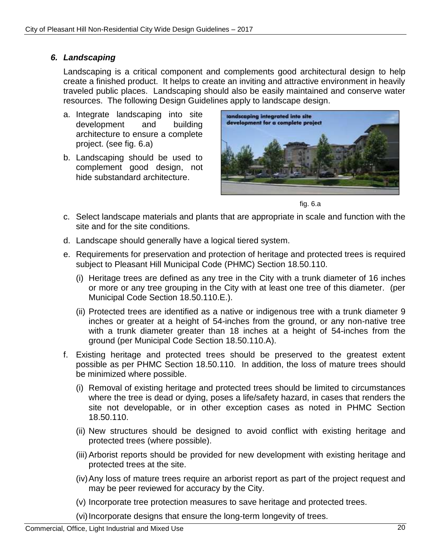### *6. Landscaping*

Landscaping is a critical component and complements good architectural design to help create a finished product. It helps to create an inviting and attractive environment in heavily traveled public places. Landscaping should also be easily maintained and conserve water resources. The following Design Guidelines apply to landscape design.

- a. Integrate landscaping into site development and building architecture to ensure a complete project. (see fig. 6.a)
- b. Landscaping should be used to complement good design, not hide substandard architecture.



fig. 6.a

- c. Select landscape materials and plants that are appropriate in scale and function with the site and for the site conditions.
- d. Landscape should generally have a logical tiered system.
- e. Requirements for preservation and protection of heritage and protected trees is required subject to Pleasant Hill Municipal Code (PHMC) Section 18.50.110.
	- (i) Heritage trees are defined as any tree in the City with a trunk diameter of 16 inches or more or any tree grouping in the City with at least one tree of this diameter. (per Municipal Code Section 18.50.110.E.).
	- (ii) Protected trees are identified as a native or indigenous tree with a trunk diameter 9 inches or greater at a height of 54-inches from the ground, or any non-native tree with a trunk diameter greater than 18 inches at a height of 54-inches from the ground (per Municipal Code Section 18.50.110.A).
- f. Existing heritage and protected trees should be preserved to the greatest extent possible as per PHMC Section 18.50.110. In addition, the loss of mature trees should be minimized where possible.
	- (i) Removal of existing heritage and protected trees should be limited to circumstances where the tree is dead or dying, poses a life/safety hazard, in cases that renders the site not developable, or in other exception cases as noted in PHMC Section 18.50.110.
	- (ii) New structures should be designed to avoid conflict with existing heritage and protected trees (where possible).
	- (iii) Arborist reports should be provided for new development with existing heritage and protected trees at the site.
	- (iv)Any loss of mature trees require an arborist report as part of the project request and may be peer reviewed for accuracy by the City.
	- (v) Incorporate tree protection measures to save heritage and protected trees.
	- (vi) Incorporate designs that ensure the long-term longevity of trees.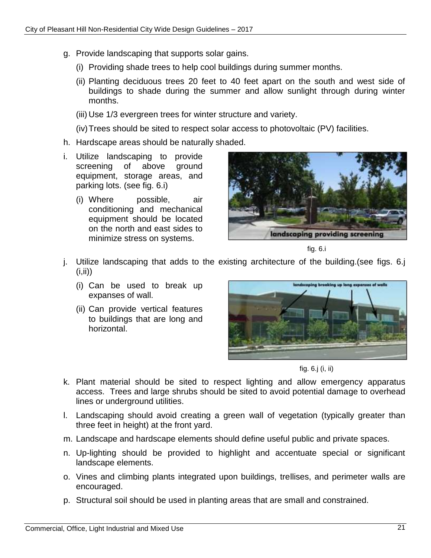- g. Provide landscaping that supports solar gains.
	- (i) Providing shade trees to help cool buildings during summer months.
	- (ii) Planting deciduous trees 20 feet to 40 feet apart on the south and west side of buildings to shade during the summer and allow sunlight through during winter months.
	- (iii) Use 1/3 evergreen trees for winter structure and variety.
	- (iv)Trees should be sited to respect solar access to photovoltaic (PV) facilities.
- h. Hardscape areas should be naturally shaded.
- i. Utilize landscaping to provide screening of above ground equipment, storage areas, and parking lots. (see fig. 6.i)
	- (i) Where possible, air conditioning and mechanical equipment should be located on the north and east sides to minimize stress on systems.



fig. 6.i

- j. Utilize landscaping that adds to the existing architecture of the building.(see figs. 6.j  $(i, ii)$ 
	- (i) Can be used to break up expanses of wall.
	- (ii) Can provide vertical features to buildings that are long and horizontal.



fig. 6.j (i, ii)

- k. Plant material should be sited to respect lighting and allow emergency apparatus access. Trees and large shrubs should be sited to avoid potential damage to overhead lines or underground utilities.
- l. Landscaping should avoid creating a green wall of vegetation (typically greater than three feet in height) at the front yard.
- m. Landscape and hardscape elements should define useful public and private spaces.
- n. Up-lighting should be provided to highlight and accentuate special or significant landscape elements.
- o. Vines and climbing plants integrated upon buildings, trellises, and perimeter walls are encouraged.
- p. Structural soil should be used in planting areas that are small and constrained.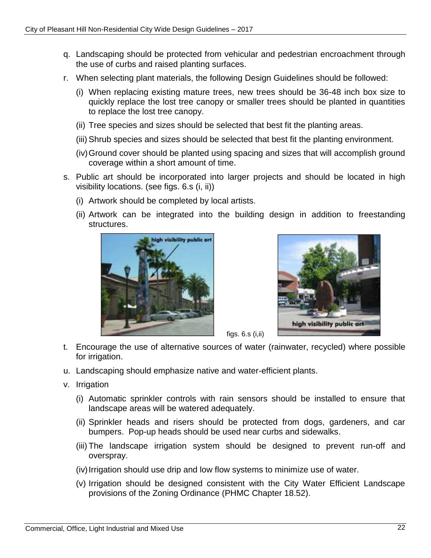- q. Landscaping should be protected from vehicular and pedestrian encroachment through the use of curbs and raised planting surfaces.
- r. When selecting plant materials, the following Design Guidelines should be followed:
	- (i) When replacing existing mature trees, new trees should be 36-48 inch box size to quickly replace the lost tree canopy or smaller trees should be planted in quantities to replace the lost tree canopy.
	- (ii) Tree species and sizes should be selected that best fit the planting areas.
	- (iii) Shrub species and sizes should be selected that best fit the planting environment.
	- (iv)Ground cover should be planted using spacing and sizes that will accomplish ground coverage within a short amount of time.
- s. Public art should be incorporated into larger projects and should be located in high visibility locations. (see figs. 6.s (i, ii))
	- (i) Artwork should be completed by local artists.
	- (ii) Artwork can be integrated into the building design in addition to freestanding structures.





t. Encourage the use of alternative sources of water (rainwater, recycled) where possible for irrigation.

figs. 6.s (i,ii)

- u. Landscaping should emphasize native and water-efficient plants.
- v. Irrigation
	- (i) Automatic sprinkler controls with rain sensors should be installed to ensure that landscape areas will be watered adequately.
	- (ii) Sprinkler heads and risers should be protected from dogs, gardeners, and car bumpers. Pop-up heads should be used near curbs and sidewalks.
	- (iii) The landscape irrigation system should be designed to prevent run-off and overspray.
	- (iv) Irrigation should use drip and low flow systems to minimize use of water.
	- (v) Irrigation should be designed consistent with the City Water Efficient Landscape provisions of the Zoning Ordinance (PHMC Chapter 18.52).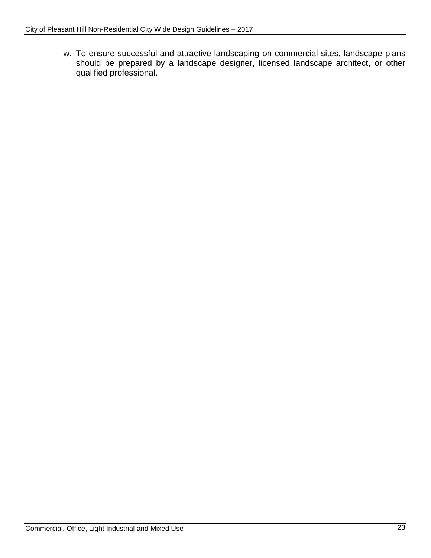w. To ensure successful and attractive landscaping on commercial sites, landscape plans should be prepared by a landscape designer, licensed landscape architect, or other qualified professional.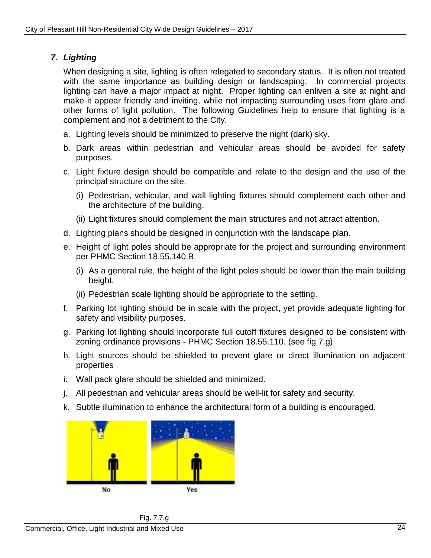### *7. Lighting*

When designing a site, lighting is often relegated to secondary status. It is often not treated with the same importance as building design or landscaping. In commercial projects lighting can have a major impact at night. Proper lighting can enliven a site at night and make it appear friendly and inviting, while not impacting surrounding uses from glare and other forms of light pollution. The following Guidelines help to ensure that lighting is a complement and not a detriment to the City.

- a. Lighting levels should be minimized to preserve the night (dark) sky.
- b. Dark areas within pedestrian and vehicular areas should be avoided for safety purposes.
- c. Light fixture design should be compatible and relate to the design and the use of the principal structure on the site.
	- (i) Pedestrian, vehicular, and wall lighting fixtures should complement each other and the architecture of the building.
	- (ii) Light fixtures should complement the main structures and not attract attention.
- d. Lighting plans should be designed in conjunction with the landscape plan.
- e. Height of light poles should be appropriate for the project and surrounding environment per PHMC Section 18.55.140.B.
	- (i) As a general rule, the height of the light poles should be lower than the main building height.
	- (ii) Pedestrian scale lighting should be appropriate to the setting.
- f. Parking lot lighting should be in scale with the project, yet provide adequate lighting for safety and visibility purposes.
- g. Parking lot lighting should incorporate full cutoff fixtures designed to be consistent with zoning ordinance provisions - PHMC Section 18.55.110. (see fig 7.g)
- h. Light sources should be shielded to prevent glare or direct illumination on adjacent properties
- i. Wall pack glare should be shielded and minimized.
- j. All pedestrian and vehicular areas should be well-lit for safety and security.
- k. Subtle illumination to enhance the architectural form of a building is encouraged.



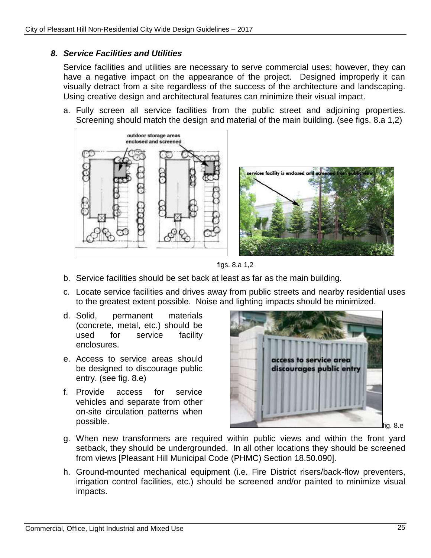### *8. Service Facilities and Utilities*

Service facilities and utilities are necessary to serve commercial uses; however, they can have a negative impact on the appearance of the project. Designed improperly it can visually detract from a site regardless of the success of the architecture and landscaping. Using creative design and architectural features can minimize their visual impact.

a. Fully screen all service facilities from the public street and adjoining properties. Screening should match the design and material of the main building. (see figs. 8.a 1,2)





- b. Service facilities should be set back at least as far as the main building.
- c. Locate service facilities and drives away from public streets and nearby residential uses to the greatest extent possible. Noise and lighting impacts should be minimized.
- d. Solid, permanent materials (concrete, metal, etc.) should be used for service facility enclosures.
- e. Access to service areas should be designed to discourage public entry. (see fig. 8.e)
- f. Provide access for service vehicles and separate from other on-site circulation patterns when



- g. When new transformers are required within public views and within the front yard setback, they should be undergrounded. In all other locations they should be screened from views [Pleasant Hill Municipal Code (PHMC) Section 18.50.090].
- h. Ground-mounted mechanical equipment (i.e. Fire District risers/back-flow preventers, irrigation control facilities, etc.) should be screened and/or painted to minimize visual impacts.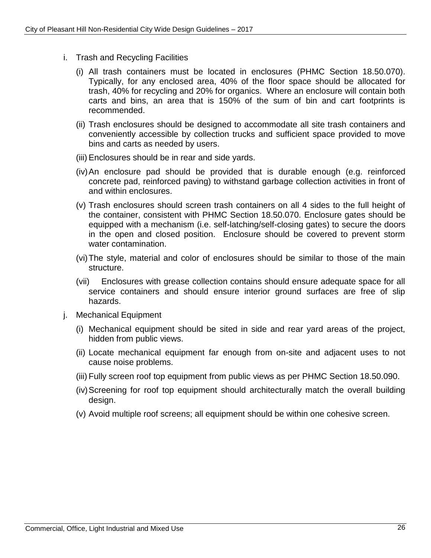- i. Trash and Recycling Facilities
	- (i) All trash containers must be located in enclosures (PHMC Section 18.50.070). Typically, for any enclosed area, 40% of the floor space should be allocated for trash, 40% for recycling and 20% for organics. Where an enclosure will contain both carts and bins, an area that is 150% of the sum of bin and cart footprints is recommended.
	- (ii) Trash enclosures should be designed to accommodate all site trash containers and conveniently accessible by collection trucks and sufficient space provided to move bins and carts as needed by users.
	- (iii) Enclosures should be in rear and side yards.
	- (iv)An enclosure pad should be provided that is durable enough (e.g. reinforced concrete pad, reinforced paving) to withstand garbage collection activities in front of and within enclosures.
	- (v) Trash enclosures should screen trash containers on all 4 sides to the full height of the container, consistent with PHMC Section 18.50.070. Enclosure gates should be equipped with a mechanism (i.e. self-latching/self-closing gates) to secure the doors in the open and closed position. Enclosure should be covered to prevent storm water contamination.
	- (vi)The style, material and color of enclosures should be similar to those of the main structure.
	- (vii) Enclosures with grease collection contains should ensure adequate space for all service containers and should ensure interior ground surfaces are free of slip hazards.
- j. Mechanical Equipment
	- (i) Mechanical equipment should be sited in side and rear yard areas of the project, hidden from public views.
	- (ii) Locate mechanical equipment far enough from on-site and adjacent uses to not cause noise problems.
	- (iii) Fully screen roof top equipment from public views as per PHMC Section 18.50.090.
	- (iv)Screening for roof top equipment should architecturally match the overall building design.
	- (v) Avoid multiple roof screens; all equipment should be within one cohesive screen.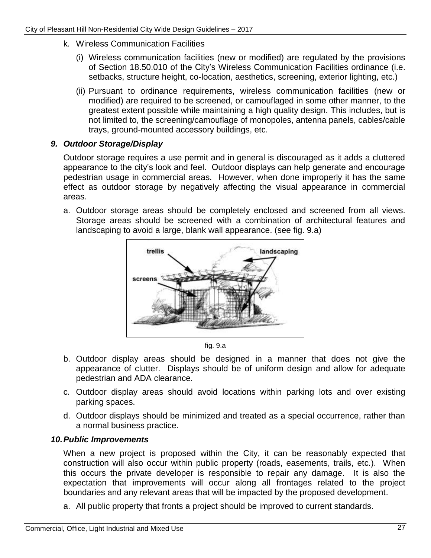- k. Wireless Communication Facilities
	- (i) Wireless communication facilities (new or modified) are regulated by the provisions of Section 18.50.010 of the City's Wireless Communication Facilities ordinance (i.e. setbacks, structure height, co-location, aesthetics, screening, exterior lighting, etc.)
	- (ii) Pursuant to ordinance requirements, wireless communication facilities (new or modified) are required to be screened, or camouflaged in some other manner, to the greatest extent possible while maintaining a high quality design. This includes, but is not limited to, the screening/camouflage of monopoles, antenna panels, cables/cable trays, ground-mounted accessory buildings, etc.

### *9. Outdoor Storage/Display*

Outdoor storage requires a use permit and in general is discouraged as it adds a cluttered appearance to the city's look and feel. Outdoor displays can help generate and encourage pedestrian usage in commercial areas. However, when done improperly it has the same effect as outdoor storage by negatively affecting the visual appearance in commercial areas.

a. Outdoor storage areas should be completely enclosed and screened from all views. Storage areas should be screened with a combination of architectural features and landscaping to avoid a large, blank wall appearance. (see fig. 9.a)



fig. 9.a

- b. Outdoor display areas should be designed in a manner that does not give the appearance of clutter. Displays should be of uniform design and allow for adequate pedestrian and ADA clearance.
- c. Outdoor display areas should avoid locations within parking lots and over existing parking spaces.
- d. Outdoor displays should be minimized and treated as a special occurrence, rather than a normal business practice.

### *10.Public Improvements*

When a new project is proposed within the City, it can be reasonably expected that construction will also occur within public property (roads, easements, trails, etc.). When this occurs the private developer is responsible to repair any damage. It is also the expectation that improvements will occur along all frontages related to the project boundaries and any relevant areas that will be impacted by the proposed development.

a. All public property that fronts a project should be improved to current standards.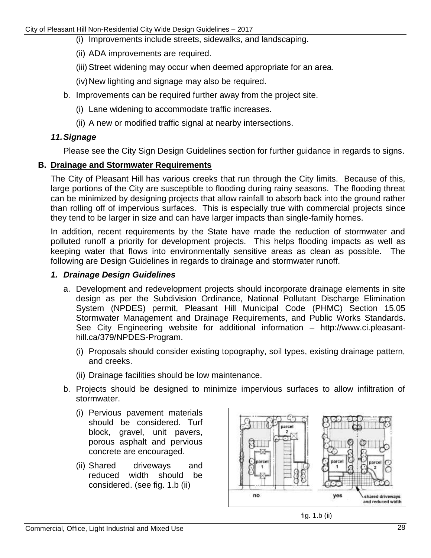- (i) Improvements include streets, sidewalks, and landscaping.
- (ii) ADA improvements are required.
- (iii) Street widening may occur when deemed appropriate for an area.
- (iv) New lighting and signage may also be required.
- b. Improvements can be required further away from the project site.
	- (i) Lane widening to accommodate traffic increases.
	- (ii) A new or modified traffic signal at nearby intersections.

### *11.Signage*

Please see the City Sign Design Guidelines section for further guidance in regards to signs.

### **B. Drainage and Stormwater Requirements**

The City of Pleasant Hill has various creeks that run through the City limits. Because of this, large portions of the City are susceptible to flooding during rainy seasons. The flooding threat can be minimized by designing projects that allow rainfall to absorb back into the ground rather than rolling off of impervious surfaces. This is especially true with commercial projects since they tend to be larger in size and can have larger impacts than single-family homes.

In addition, recent requirements by the State have made the reduction of stormwater and polluted runoff a priority for development projects. This helps flooding impacts as well as keeping water that flows into environmentally sensitive areas as clean as possible. The following are Design Guidelines in regards to drainage and stormwater runoff.

### *1. Drainage Design Guidelines*

- a. Development and redevelopment projects should incorporate drainage elements in site design as per the Subdivision Ordinance, National Pollutant Discharge Elimination System (NPDES) permit, Pleasant Hill Municipal Code (PHMC) Section 15.05 Stormwater Management and Drainage Requirements, and Public Works Standards. See City Engineering website for additional information – http://www.ci.pleasanthill.ca/379/NPDES-Program.
	- (i) Proposals should consider existing topography, soil types, existing drainage pattern, and creeks.
	- (ii) Drainage facilities should be low maintenance.
- b. Projects should be designed to minimize impervious surfaces to allow infiltration of stormwater.
	- (i) Pervious pavement materials should be considered. Turf block, gravel, unit pavers, porous asphalt and pervious concrete are encouraged.
	- (ii) Shared driveways and reduced width should be considered. (see fig. 1.b (ii)



fig. 1.b (ii)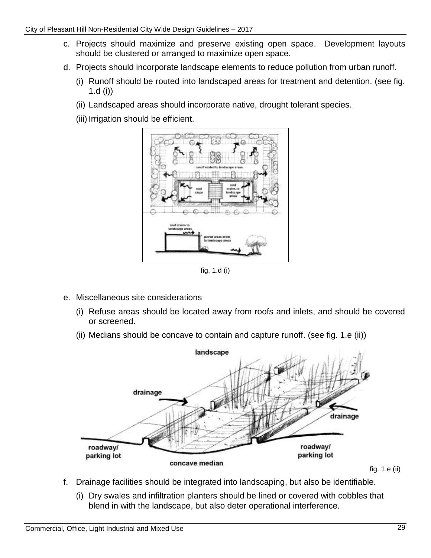- c. Projects should maximize and preserve existing open space. Development layouts should be clustered or arranged to maximize open space.
- d. Projects should incorporate landscape elements to reduce pollution from urban runoff.
	- (i) Runoff should be routed into landscaped areas for treatment and detention. (see fig. 1.d (i))
	- (ii) Landscaped areas should incorporate native, drought tolerant species.
	- (iii) Irrigation should be efficient.



fig. 1.d (i)

- e. Miscellaneous site considerations
	- (i) Refuse areas should be located away from roofs and inlets, and should be covered or screened.
	- (ii) Medians should be concave to contain and capture runoff. (see fig. 1.e (ii))



fig. 1.e (ii)

- f. Drainage facilities should be integrated into landscaping, but also be identifiable.
	- (i) Dry swales and infiltration planters should be lined or covered with cobbles that blend in with the landscape, but also deter operational interference.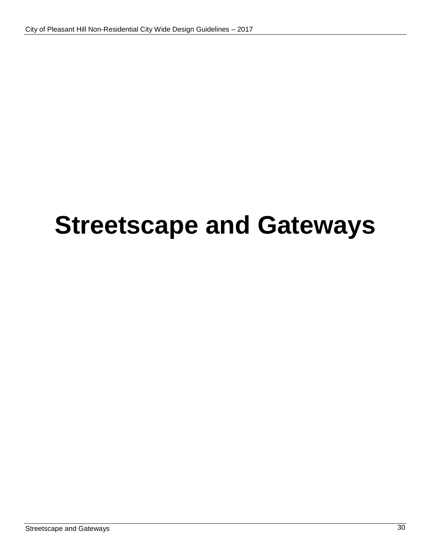# **Streetscape and Gateways**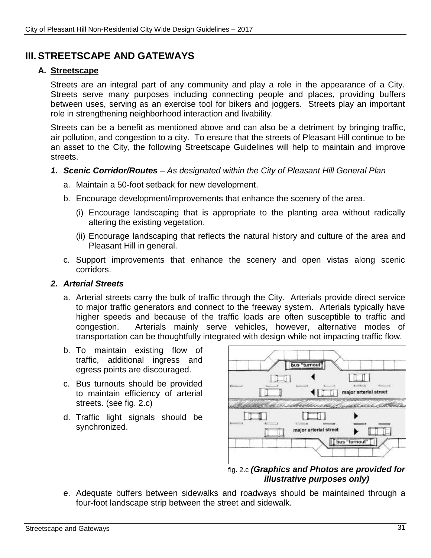### **III. STREETSCAPE AND GATEWAYS**

### **A. Streetscape**

Streets are an integral part of any community and play a role in the appearance of a City. Streets serve many purposes including connecting people and places, providing buffers between uses, serving as an exercise tool for bikers and joggers. Streets play an important role in strengthening neighborhood interaction and livability.

Streets can be a benefit as mentioned above and can also be a detriment by bringing traffic, air pollution, and congestion to a city. To ensure that the streets of Pleasant Hill continue to be an asset to the City, the following Streetscape Guidelines will help to maintain and improve streets.

### *1. Scenic Corridor/Routes – As designated within the City of Pleasant Hill General Plan*

- a. Maintain a 50-foot setback for new development.
- b. Encourage development/improvements that enhance the scenery of the area.
	- (i) Encourage landscaping that is appropriate to the planting area without radically altering the existing vegetation.
	- (ii) Encourage landscaping that reflects the natural history and culture of the area and Pleasant Hill in general.
- c. Support improvements that enhance the scenery and open vistas along scenic corridors.

### *2. Arterial Streets*

- a. Arterial streets carry the bulk of traffic through the City. Arterials provide direct service to major traffic generators and connect to the freeway system. Arterials typically have higher speeds and because of the traffic loads are often susceptible to traffic and congestion. Arterials mainly serve vehicles, however, alternative modes of transportation can be thoughtfully integrated with design while not impacting traffic flow.
- b. To maintain existing flow of traffic, additional ingress and egress points are discouraged.
- c. Bus turnouts should be provided to maintain efficiency of arterial streets. (see fig. 2.c)
- d. Traffic light signals should be synchronized.



fig. 2.c *(Graphics and Photos are provided for illustrative purposes only)*

e. Adequate buffers between sidewalks and roadways should be maintained through a four-foot landscape strip between the street and sidewalk.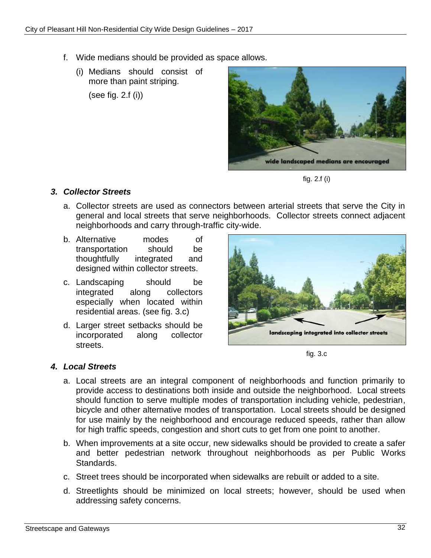- f. Wide medians should be provided as space allows.
	- (i) Medians should consist of more than paint striping.

(see fig. 2.f (i))



fig. 2.f (i)

### *3. Collector Streets*

- a. Collector streets are used as connectors between arterial streets that serve the City in general and local streets that serve neighborhoods. Collector streets connect adjacent neighborhoods and carry through-traffic city-wide.
- b. Alternative modes of transportation should be thoughtfully integrated and designed within collector streets.
- c. Landscaping should be integrated along collectors especially when located within residential areas. (see fig. 3.c)
- d. Larger street setbacks should be incorporated along collector streets.



fig. 3.c

### *4. Local Streets*

- a. Local streets are an integral component of neighborhoods and function primarily to provide access to destinations both inside and outside the neighborhood. Local streets should function to serve multiple modes of transportation including vehicle, pedestrian, bicycle and other alternative modes of transportation. Local streets should be designed for use mainly by the neighborhood and encourage reduced speeds, rather than allow for high traffic speeds, congestion and short cuts to get from one point to another.
- b. When improvements at a site occur, new sidewalks should be provided to create a safer and better pedestrian network throughout neighborhoods as per Public Works Standards.
- c. Street trees should be incorporated when sidewalks are rebuilt or added to a site.
- d. Streetlights should be minimized on local streets; however, should be used when addressing safety concerns.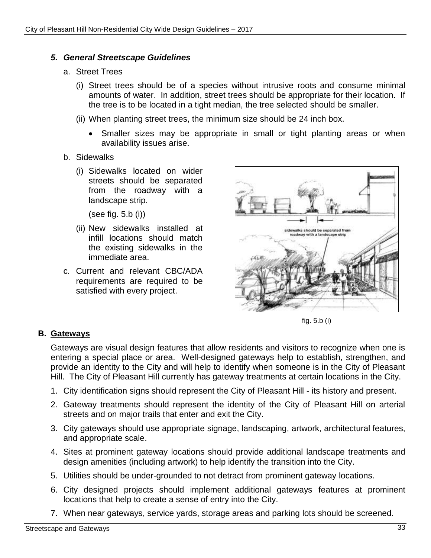### *5. General Streetscape Guidelines*

- a. Street Trees
	- (i) Street trees should be of a species without intrusive roots and consume minimal amounts of water. In addition, street trees should be appropriate for their location. If the tree is to be located in a tight median, the tree selected should be smaller.
	- (ii) When planting street trees, the minimum size should be 24 inch box.
		- Smaller sizes may be appropriate in small or tight planting areas or when availability issues arise.
- b. Sidewalks
	- (i) Sidewalks located on wider streets should be separated from the roadway with a landscape strip.

(see fig. 5.b (i))

- (ii) New sidewalks installed at infill locations should match the existing sidewalks in the immediate area.
- c. Current and relevant CBC/ADA requirements are required to be satisfied with every project.



fig. 5.b (i)

### **B. Gateways**

Gateways are visual design features that allow residents and visitors to recognize when one is entering a special place or area. Well-designed gateways help to establish, strengthen, and provide an identity to the City and will help to identify when someone is in the City of Pleasant Hill. The City of Pleasant Hill currently has gateway treatments at certain locations in the City.

- 1. City identification signs should represent the City of Pleasant Hill its history and present.
- 2. Gateway treatments should represent the identity of the City of Pleasant Hill on arterial streets and on major trails that enter and exit the City.
- 3. City gateways should use appropriate signage, landscaping, artwork, architectural features, and appropriate scale.
- 4. Sites at prominent gateway locations should provide additional landscape treatments and design amenities (including artwork) to help identify the transition into the City.
- 5. Utilities should be under-grounded to not detract from prominent gateway locations.
- 6. City designed projects should implement additional gateways features at prominent locations that help to create a sense of entry into the City.
- 7. When near gateways, service yards, storage areas and parking lots should be screened.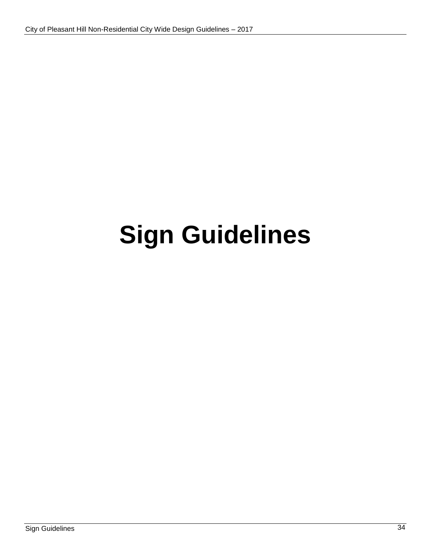# **Sign Guidelines**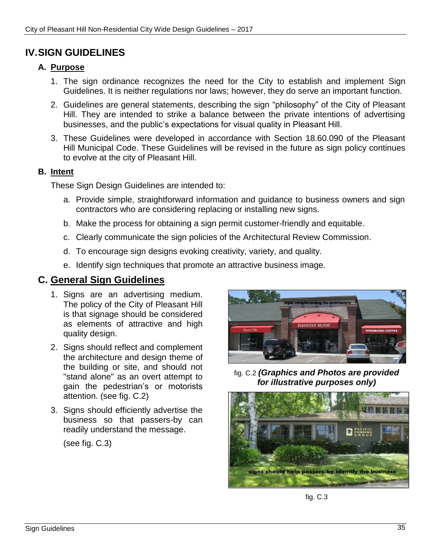### **IV.SIGN GUIDELINES**

### **A. Purpose**

- 1. The sign ordinance recognizes the need for the City to establish and implement Sign Guidelines. It is neither regulations nor laws; however, they do serve an important function.
- 2. Guidelines are general statements, describing the sign "philosophy" of the City of Pleasant Hill. They are intended to strike a balance between the private intentions of advertising businesses, and the public's expectations for visual quality in Pleasant Hill.
- 3. These Guidelines were developed in accordance with Section 18.60.090 of the Pleasant Hill Municipal Code. These Guidelines will be revised in the future as sign policy continues to evolve at the city of Pleasant Hill.

### **B. Intent**

These Sign Design Guidelines are intended to:

- a. Provide simple, straightforward information and guidance to business owners and sign contractors who are considering replacing or installing new signs.
- b. Make the process for obtaining a sign permit customer-friendly and equitable.
- c. Clearly communicate the sign policies of the Architectural Review Commission.
- d. To encourage sign designs evoking creativity, variety, and quality.
- e. Identify sign techniques that promote an attractive business image.

### **C. General Sign Guidelines**

- 1. Signs are an advertising medium. The policy of the City of Pleasant Hill is that signage should be considered as elements of attractive and high quality design.
- 2. Signs should reflect and complement the architecture and design theme of the building or site, and should not "stand alone" as an overt attempt to gain the pedestrian's or motorists attention. (see fig. C.2)
- 3. Signs should efficiently advertise the business so that passers-by can readily understand the message.

(see fig. C.3)



fig. C.2 *(Graphics and Photos are provided for illustrative purposes only)*



fig. C.3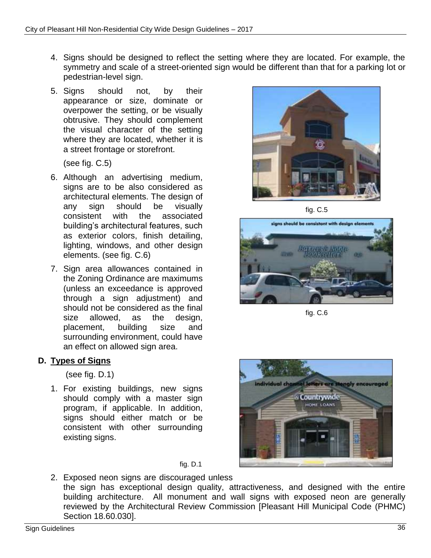- 4. Signs should be designed to reflect the setting where they are located. For example, the symmetry and scale of a street-oriented sign would be different than that for a parking lot or pedestrian-level sign.
- 5. Signs should not, by their appearance or size, dominate or overpower the setting, or be visually obtrusive. They should complement the visual character of the setting where they are located, whether it is a street frontage or storefront.

(see fig. C.5)

- 6. Although an advertising medium, signs are to be also considered as architectural elements. The design of any sign should be visually consistent with the associated building's architectural features, such as exterior colors, finish detailing, lighting, windows, and other design elements. (see fig. C.6)
- 7. Sign area allowances contained in the Zoning Ordinance are maximums (unless an exceedance is approved through a sign adjustment) and should not be considered as the final size allowed, as the design, placement, building size and surrounding environment, could have an effect on allowed sign area.

### **D. Types of Signs**

(see fig. D.1)

1. For existing buildings, new signs should comply with a master sign program, if applicable. In addition, signs should either match or be consistent with other surrounding existing signs.



fig. C.5



fig. C.6



fig. D.1

2. Exposed neon signs are discouraged unless the sign has exceptional design quality, attractiveness, and designed with the entire building architecture. All monument and wall signs with exposed neon are generally reviewed by the Architectural Review Commission [Pleasant Hill Municipal Code (PHMC) Section 18.60.030].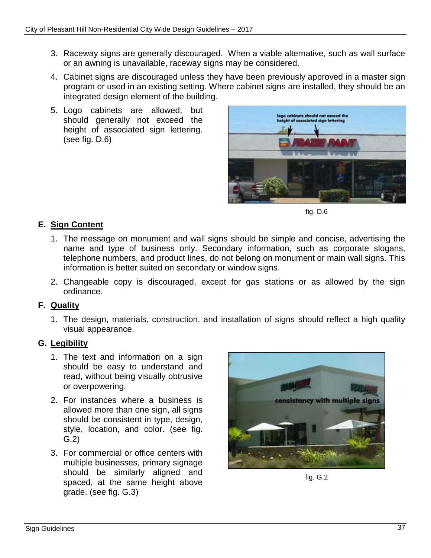- 3. Raceway signs are generally discouraged. When a viable alternative, such as wall surface or an awning is unavailable, raceway signs may be considered.
- 4. Cabinet signs are discouraged unless they have been previously approved in a master sign program or used in an existing setting. Where cabinet signs are installed, they should be an integrated design element of the building.
- 5. Logo cabinets are allowed, but should generally not exceed the height of associated sign lettering. (see fig. D.6)



fig. D.6

### **E. Sign Content**

- 1. The message on monument and wall signs should be simple and concise, advertising the name and type of business only. Secondary information, such as corporate slogans, telephone numbers, and product lines, do not belong on monument or main wall signs. This information is better suited on secondary or window signs.
- 2. Changeable copy is discouraged, except for gas stations or as allowed by the sign ordinance.

### **F. Quality**

1. The design, materials, construction, and installation of signs should reflect a high quality visual appearance.

### **G. Legibility**

- 1. The text and information on a sign should be easy to understand and read, without being visually obtrusive or overpowering.
- 2. For instances where a business is allowed more than one sign, all signs should be consistent in type, design, style, location, and color. (see fig. G.2)
- 3. For commercial or office centers with multiple businesses, primary signage should be similarly aligned and spaced, at the same height above grade. (see fig. G.3)



fig. G.2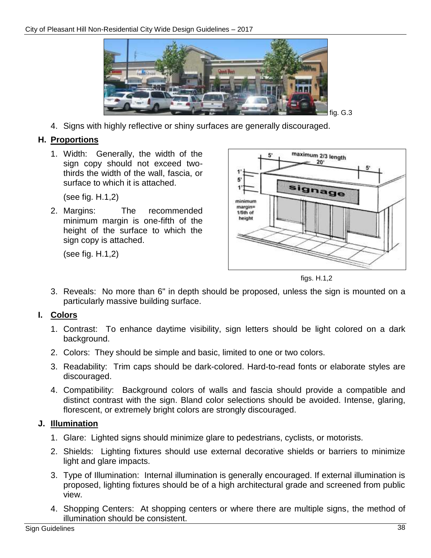

4. Signs with highly reflective or shiny surfaces are generally discouraged.

### **H. Proportions**

1. Width: Generally, the width of the sign copy should not exceed twothirds the width of the wall, fascia, or surface to which it is attached.

(see fig. H.1,2)

2. Margins: The recommended minimum margin is one-fifth of the height of the surface to which the sign copy is attached.

(see fig. H.1,2)



figs. H.1,2

3. Reveals: No more than 6" in depth should be proposed, unless the sign is mounted on a particularly massive building surface.

### **I. Colors**

- 1. Contrast: To enhance daytime visibility, sign letters should be light colored on a dark background.
- 2. Colors: They should be simple and basic, limited to one or two colors.
- 3. Readability: Trim caps should be dark-colored. Hard-to-read fonts or elaborate styles are discouraged.
- 4. Compatibility: Background colors of walls and fascia should provide a compatible and distinct contrast with the sign. Bland color selections should be avoided. Intense, glaring, florescent, or extremely bright colors are strongly discouraged.

### **J. Illumination**

- 1. Glare: Lighted signs should minimize glare to pedestrians, cyclists, or motorists.
- 2. Shields: Lighting fixtures should use external decorative shields or barriers to minimize light and glare impacts.
- 3. Type of Illumination: Internal illumination is generally encouraged. If external illumination is proposed, lighting fixtures should be of a high architectural grade and screened from public view.
- 4. Shopping Centers: At shopping centers or where there are multiple signs, the method of illumination should be consistent.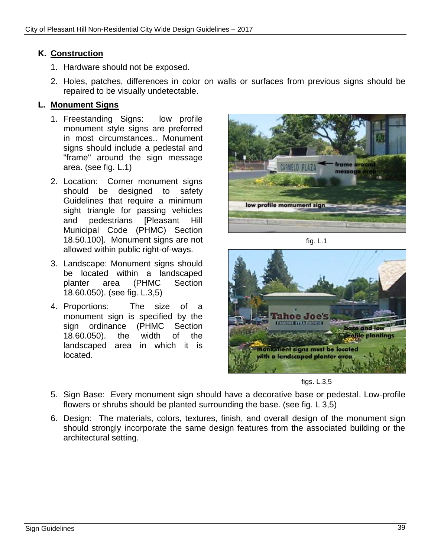### **K. Construction**

- 1. Hardware should not be exposed.
- 2. Holes, patches, differences in color on walls or surfaces from previous signs should be repaired to be visually undetectable.

### **L. Monument Signs**

- 1. Freestanding Signs: low profile monument style signs are preferred in most circumstances.. Monument signs should include a pedestal and "frame" around the sign message area. (see fig. L.1)
- 2. Location: Corner monument signs should be designed to safety Guidelines that require a minimum sight triangle for passing vehicles and pedestrians [Pleasant Hill Municipal Code (PHMC) Section 18.50.100]. Monument signs are not allowed within public right-of-ways.
- 3. Landscape: Monument signs should be located within a landscaped planter area (PHMC Section 18.60.050). (see fig. L.3,5)
- 4. Proportions: The size of a monument sign is specified by the sign ordinance (PHMC Section 18.60.050). the width of the landscaped area in which it is located.



fig. L.1



figs. L.3,5

- 5. Sign Base: Every monument sign should have a decorative base or pedestal. Low-profile flowers or shrubs should be planted surrounding the base. (see fig. L 3,5)
- 6. Design: The materials, colors, textures, finish, and overall design of the monument sign should strongly incorporate the same design features from the associated building or the architectural setting.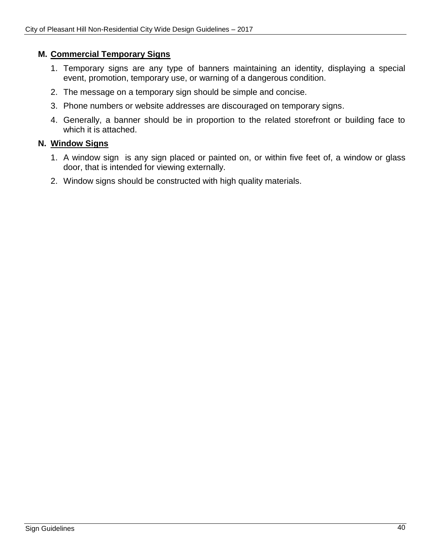### **M. Commercial Temporary Signs**

- 1. Temporary signs are any type of banners maintaining an identity, displaying a special event, promotion, temporary use, or warning of a dangerous condition.
- 2. The message on a temporary sign should be simple and concise.
- 3. Phone numbers or website addresses are discouraged on temporary signs.
- 4. Generally, a banner should be in proportion to the related storefront or building face to which it is attached.

### **N. Window Signs**

- 1. A window sign is any sign placed or painted on, or within five feet of, a window or glass door, that is intended for viewing externally.
- 2. Window signs should be constructed with high quality materials.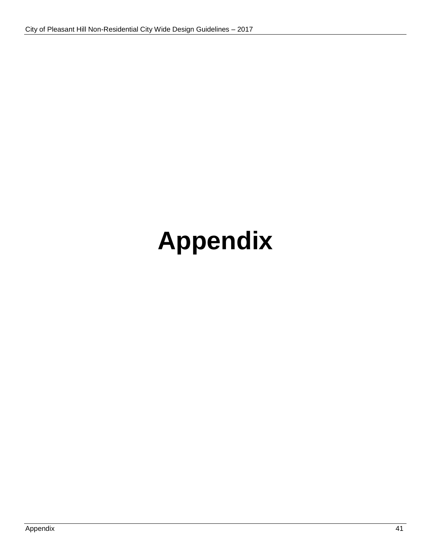# **Appendix**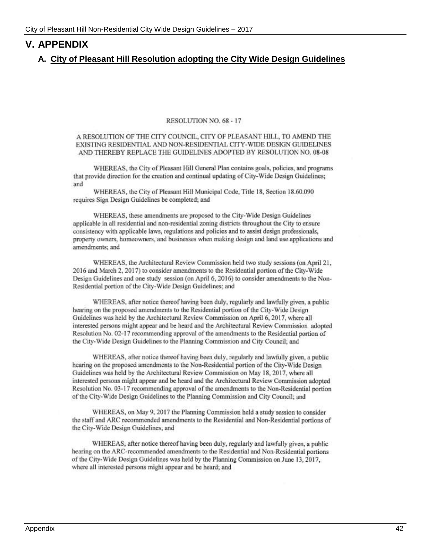### **V. APPENDIX**

#### **A. City of Pleasant Hill Resolution adopting the City Wide Design Guidelines**

#### RESOLUTION NO. 68 - 17

A RESOLUTION OF THE CITY COUNCIL, CITY OF PLEASANT HILL, TO AMEND THE EXISTING RESIDENTIAL AND NON-RESIDENTIAL CITY-WIDE DESIGN GUIDELINES AND THEREBY REPLACE THE GUIDELINES ADOPTED BY RESOLUTION NO. 08-08

WHEREAS, the City of Pleasant Hill General Plan contains goals, policies, and programs that provide direction for the creation and continual updating of City-Wide Design Guidelines; and

WHEREAS, the City of Pleasant Hill Municipal Code, Title 18, Section 18.60.090 requires Sign Design Guidelines be completed; and

WHEREAS, these amendments are proposed to the City-Wide Design Guidelines applicable in all residential and non-residential zoning districts throughout the City to ensure consistency with applicable laws, regulations and policies and to assist design professionals, property owners, homeowners, and businesses when making design and land use applications and amendments; and

WHEREAS, the Architectural Review Commission held two study sessions (on April 21, 2016 and March 2, 2017) to consider amendments to the Residential portion of the City-Wide Design Guidelines and one study session (on April 6, 2016) to consider amendments to the Non-Residential portion of the City-Wide Design Guidelines; and

WHEREAS, after notice thereof having been duly, regularly and lawfully given, a public hearing on the proposed amendments to the Residential portion of the City-Wide Design Guidelines was held by the Architectural Review Commission on April 6, 2017, where all interested persons might appear and be heard and the Architectural Review Commission adopted Resolution No. 02-17 recommending approval of the amendments to the Residential portion of the City-Wide Design Guidelines to the Planning Commission and City Council; and

WHEREAS, after notice thereof having been duly, regularly and lawfully given, a public hearing on the proposed amendments to the Non-Residential portion of the City-Wide Design Guidelines was held by the Architectural Review Commission on May 18, 2017, where all interested persons might appear and be heard and the Architectural Review Commission adopted Resolution No. 03-17 recommending approval of the amendments to the Non-Residential portion of the City-Wide Design Guidelines to the Planning Commission and City Council; and

WHEREAS, on May 9, 2017 the Planning Commission held a study session to consider the staff and ARC recommended amendments to the Residential and Non-Residential portions of the City-Wide Design Guidelines; and

WHEREAS, after notice thereof having been duly, regularly and lawfully given, a public hearing on the ARC-recommended amendments to the Residential and Non-Residential portions of the City-Wide Design Guidelines was held by the Planning Commission on June 13, 2017, where all interested persons might appear and be heard; and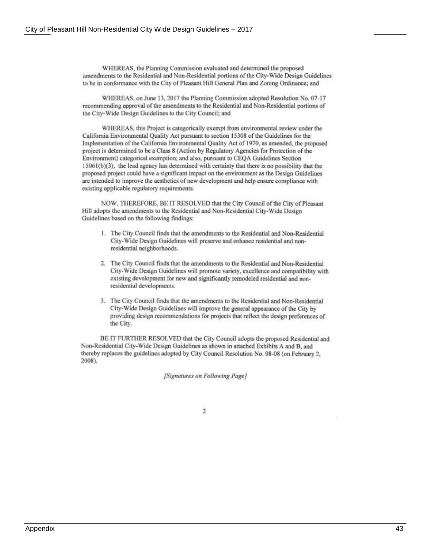WHEREAS, the Planning Commission evaluated and determined the proposed amendments to the Residential and Non-Residential portions of the City-Wide Design Guidelines to be in conformance with the City of Pleasant Hill General Plan and Zoning Ordinance; and

WHEREAS, on June 13, 2017 the Planning Commission adopted Resolution No. 07-17 recommending approval of the amendments to the Residential and Non-Residential portions of the City-Wide Design Guidelines to the City Council; and

WHEREAS, this Project is categorically exempt from environmental review under the California Environmental Quality Act pursuant to section 15308 of the Guidelines for the Implementation of the California Environmental Quality Act of 1970, as amended, the proposed project is determined to be a Class 8 (Action by Regulatory Agencies for Protection of the Environment) categorical exemption; and also, pursuant to CEQA Guidelines Section 15061(b)(3), the lead agency has determined with certainty that there is no possibility that the proposed project could have a significant impact on the environment as the Design Guidelines are intended to improve the aesthetics of new development and help ensure compliance with existing applicable regulatory requirements.

NOW, THEREFORE, BE IT RESOLVED that the City Council of the City of Pleasant Hill adopts the amendments to the Residential and Non-Residential City-Wide Design Guidelines based on the following findings:

- 1. The City Council finds that the amendments to the Residential and Non-Residential City-Wide Design Guidelines will preserve and enhance residential and nonresidential neighborhoods.
- 2. The City Council finds that the amendments to the Residential and Non-Residential City-Wide Design Guidelines will promote variety, excellence and compatibility with existing development for new and significantly remodeled residential and nonresidential developments.
- 3. The City Council finds that the amendments to the Residential and Non-Residential City-Wide Design Guidelines will improve the general appearance of the City by providing design recommendations for projects that reflect the design preferences of the City.

BE IT FURTHER RESOLVED that the City Council adopts the proposed Residential and Non-Residential City-Wide Design Guidelines as shown in attached Exhibits A and B, and thereby replaces the guidelines adopted by City Council Resolution No. 08-08 (on February 2, 2008).

[Signatures on Following Page]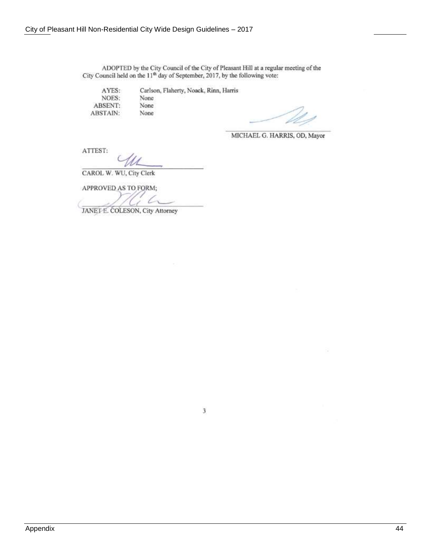ADOPTED by the City Council of the City of Pleasant Hill at a regular meeting of the City Council held on the 11<sup>th</sup> day of September, 2017, by the following vote:

AYES: NOES: ABSENT: **ABSTAIN:** 

Carlson, Flaherty, Noack, Rinn, Harris None None None

MICHAEL G. HARRIS, OD, Mayor

ATTEST:

CAROL W. WU, City Clerk

APPROVED AS TO FORM;

JANET E. COLESON, City Attorney

 $\mathfrak z$